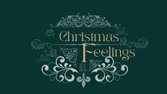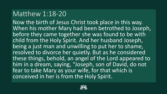### Matthew 1:18-20

Now the birth of Jesus Christ took place in this way. When his mother Mary had been betrothed to Joseph, before they came together she was found to be with child from the Holy Spirit. And her husband Joseph, being a just man and unwilling to put her to shame, resolved to divorce her quietly. But as he considered these things, behold, an angel of the Lord appeared to him in a dream, saying, "Joseph, son of David, do not fear to take Mary as your wife, for that which is conceived in her is from the Holy Spirit.

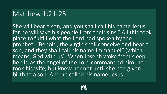#### Matthew 1:21-25

She will bear a son, and you shall call his name Jesus, for he will save his people from their sins." All this took place to fulfill what the Lord had spoken by the prophet: "Behold, the virgin shall conceive and bear a son, and they shall call his name Immanuel" (which means, God with us). When Joseph woke from sleep, he did as the angel of the Lord commanded him: he took his wife, but knew her not until she had given birth to a son. And he called his name Jesus.

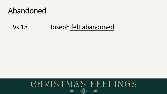# Abandoned

#### Joseph felt abandoned **Vs 18**

#### CHRISTMAS FEELINGS <<>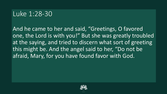### Luke 1:28-30

And he came to her and said, "Greetings, O favored one, the Lord is with you!" But she was greatly troubled at the saying, and tried to discern what sort of greeting this might be. And the angel said to her, "Do not be afraid, Mary, for you have found favor with God.

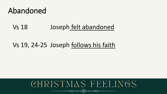# Abandoned

#### Vs 18 Joseph felt abandoned

#### Vs 19, 24-25 Joseph follows his faith

# CHRISTMAS FEELINGS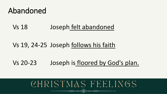# Abandoned

Vs 18 Joseph felt abandoned

#### Vs 19, 24-25 Joseph follows his faith

Vs 20-23 Joseph is floored by God's plan.

# CHRISTMAS FEELINGS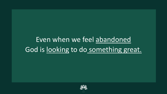# Even when we feel abandoned God is looking to do something great.